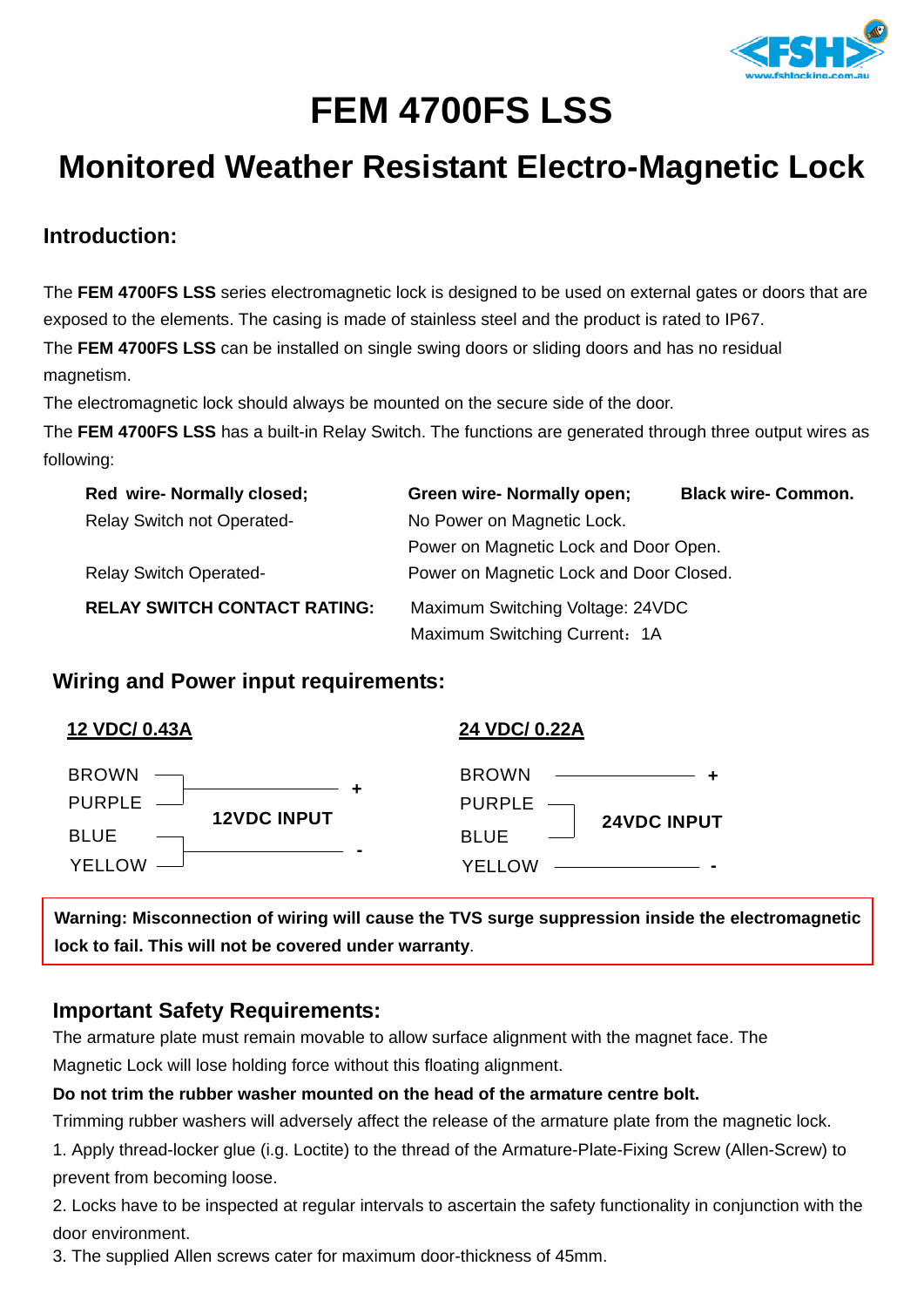

# **FEM 4700FS LSS**

# **Monitored Weather Resistant Electro-Magnetic Lock**

## **Introduction:**

The **FEM 4700FS LSS** series electromagnetic lock is designed to be used on external gates or doors that are exposed to the elements. The casing is made of stainless steel and the product is rated to IP67. The **FEM 4700FS LSS** can be installed on single swing doors or sliding doors and has no residual magnetism.

The electromagnetic lock should always be mounted on the secure side of the door.

The **FEM 4700FS LSS** has a built-in Relay Switch. The functions are generated through three output wires as following:

| Red wire- Normally closed;          | <b>Green wire- Normally open;</b>       | <b>Black wire- Common.</b> |
|-------------------------------------|-----------------------------------------|----------------------------|
| <b>Relay Switch not Operated-</b>   | No Power on Magnetic Lock.              |                            |
|                                     | Power on Magnetic Lock and Door Open.   |                            |
| <b>Relay Switch Operated-</b>       | Power on Magnetic Lock and Door Closed. |                            |
| <b>RELAY SWITCH CONTACT RATING:</b> | Maximum Switching Voltage: 24VDC        |                            |
|                                     | Maximum Switching Current: 1A           |                            |

## **Wiring and Power input requirements:**

| 12 VDC/ 0.43A                                                               | 24 VDC/ 0.22A                                                                                                             |
|-----------------------------------------------------------------------------|---------------------------------------------------------------------------------------------------------------------------|
| BROWN -<br><b>PURPLE</b><br><b>12VDC INPUT</b><br><b>BLUE</b><br>$YELLOW$ — | <b>BROWN</b><br>PURPLE<br><b>24VDC INPUT</b><br><b>BLUE</b><br><b>YELLOW</b><br><u> 2000 - Andrea Andrew Maria (b. 19</u> |
|                                                                             |                                                                                                                           |

**Warning: Misconnection of wiring will cause the TVS surge suppression inside the electromagnetic lock to fail. This will not be covered under warranty**.

#### **Important Safety Requirements:**

The armature plate must remain movable to allow surface alignment with the magnet face. The Magnetic Lock will lose holding force without this floating alignment.

#### **Do not trim the rubber washer mounted on the head of the armature centre bolt.**

Trimming rubber washers will adversely affect the release of the armature plate from the magnetic lock.

1. Apply thread-locker glue (i.g. Loctite) to the thread of the Armature-Plate-Fixing Screw (Allen-Screw) to prevent from becoming loose.

2. Locks have to be inspected at regular intervals to ascertain the safety functionality in conjunction with the door environment.

3. The supplied Allen screws cater for maximum door-thickness of 45mm.